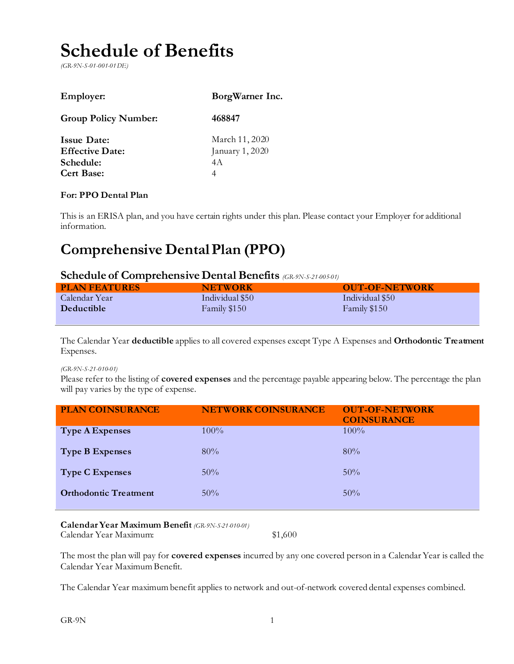# **Schedule of Benefits**

*(GR-9N-S-01-001-01 DE)*

| <b>Employer:</b>                                                               | BorgWarner Inc.                               |
|--------------------------------------------------------------------------------|-----------------------------------------------|
| <b>Group Policy Number:</b>                                                    | 468847                                        |
| <b>Issue Date:</b><br><b>Effective Date:</b><br>Schedule:<br><b>Cert Base:</b> | March 11, 2020<br>January 1, 2020<br>4 A<br>4 |

#### **For: PPO Dental Plan**

This is an ERISA plan, and you have certain rights under this plan. Please contact your Employer for additional information.

## **Comprehensive Dental Plan (PPO)**

#### **Schedule of Comprehensive Dental Benefits** *(GR-9N-S-21-005-01)*

| <b>PLAN FEATURES</b> | <b>NETWORK</b>  | <b>OUT-OF-NETWORK</b> |
|----------------------|-----------------|-----------------------|
| Calendar Year        | Individual \$50 | Individual \$50       |
| <b>Deductible</b>    | Family \$150    | Family \$150          |

The Calendar Year **deductible** applies to all covered expenses except Type A Expenses and **Orthodontic Treatment** Expenses.

#### *(GR-9N-S-21-010-01)*

Please refer to the listing of **covered expenses** and the percentage payable appearing below. The percentage the plan will pay varies by the type of expense.

| <b>PLAN COINSURANCE</b>      | <b>NETWORK COINSURANCE</b> | <b>OUT-OF-NETWORK</b><br><b>COINSURANCE</b> |
|------------------------------|----------------------------|---------------------------------------------|
| <b>Type A Expenses</b>       | $100\%$                    | $100\%$                                     |
| <b>Type B Expenses</b>       | 80%                        | 80%                                         |
| <b>Type C Expenses</b>       | $50\%$                     | $50\%$                                      |
| <b>Orthodontic Treatment</b> | $50\%$                     | $50\%$                                      |

#### **Calendar Year Maximum Benefit** *(GR-9N-S-21-010-01)*

Calendar Year Maximum: \$1,600

The most the plan will pay for **covered expenses** incurred by any one covered person in a Calendar Year is called the Calendar Year Maximum Benefit.

The Calendar Year maximum benefit applies to network and out-of-network covered dental expenses combined.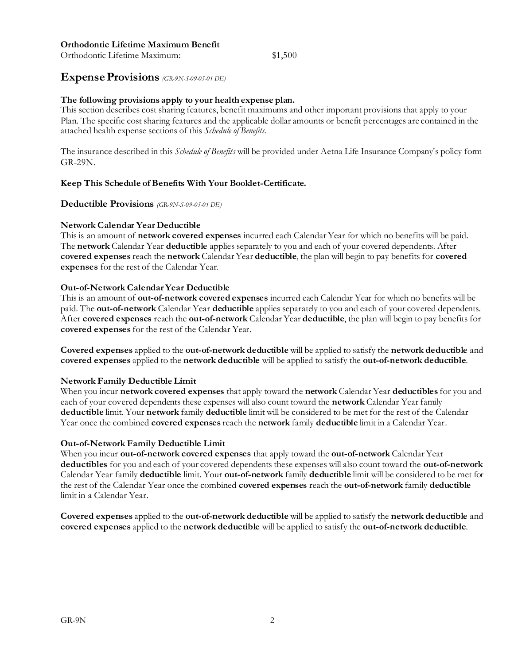#### **Orthodontic Lifetime Maximum Benefit**

Orthodontic Lifetime Maximum: \$1,500

#### **Expense Provisions** *(GR-9N-S-09-05-01 DE)*

#### **The following provisions apply to your health expense plan.**

This section describes cost sharing features, benefit maximums and other important provisions that apply to your Plan. The specific cost sharing features and the applicable dollar amounts or benefit percentages are contained in the attached health expense sections of this *Schedule of Benefits*.

The insurance described in this *Schedule of Benefits* will be provided under Aetna Life Insurance Company's policy form GR-29N.

#### **Keep This Schedule of Benefits With Your Booklet-Certificate.**

#### **Deductible Provisions** *(GR-9N-S-09-05-01 DE)*

#### **Network Calendar Year Deductible**

This is an amount of **network covered expenses** incurred each Calendar Year for which no benefits will be paid. The **network** Calendar Year **deductible** applies separately to you and each of your covered dependents. After **covered expenses** reach the **network** Calendar Year **deductible**, the plan will begin to pay benefits for **covered expenses** for the rest of the Calendar Year.

#### **Out-of-Network Calendar Year Deductible**

This is an amount of **out-of-network covered expenses** incurred each Calendar Year for which no benefits will be paid. The **out-of-network** Calendar Year **deductible** applies separately to you and each of your covered dependents. After **covered expenses** reach the **out-of-network** Calendar Year **deductible**, the plan will begin to pay benefits for **covered expenses** for the rest of the Calendar Year.

**Covered expenses** applied to the **out-of-network deductible** will be applied to satisfy the **network deductible** and **covered expenses** applied to the **network deductible** will be applied to satisfy the **out-of-network deductible**.

#### **Network Family Deductible Limit**

When you incur **network covered expenses** that apply toward the **network** Calendar Year **deductibles** for you and each of your covered dependents these expenses will also count toward the **network** Calendar Year family **deductible** limit. Your **network** family **deductible** limit will be considered to be met for the rest of the Calendar Year once the combined **covered expenses** reach the **network** family **deductible** limit in a Calendar Year.

#### **Out-of-Network Family Deductible Limit**

When you incur **out-of-network covered expenses** that apply toward the **out-of-network** Calendar Year **deductibles** for you and each of your covered dependents these expenses will also count toward the **out-of-network**  Calendar Year family **deductible** limit. Your **out-of-network** family **deductible** limit will be considered to be met for the rest of the Calendar Year once the combined **covered expenses** reach the **out-of-network** family **deductible** limit in a Calendar Year.

**Covered expenses** applied to the **out-of-network deductible** will be applied to satisfy the **network deductible** and **covered expenses** applied to the **network deductible** will be applied to satisfy the **out-of-network deductible**.